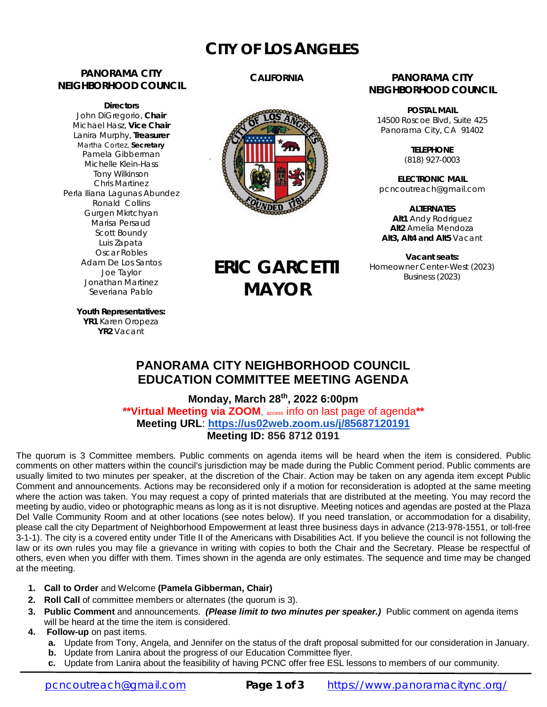# **CITY OF LOS ANGELES**

# **PANORAMA CITY NEIGHBORHOOD COUNCIL**

**Directors** John DiGregorio, **Chair** Michael Hasz, **Vice Chair** Lanira Murphy, **Treasurer** Martha Cortez, **Secretary** Pamela Gibberman Michelle Klein-Hass Tony Wilkinson Chris Martinez Perla Iliana Lagunas Abundez Ronald Collins Gurgen Mkrtchyan Marisa Persaud Scott Boundy Luis Zapata Oscar Robles Adam De Los Santos Joe Taylor Jonathan Martinez Severiana Pablo

# **CALIFORNIA**



**ERIC GARCETTI**

**MAYOR**

### **PANORAMA CITY NEIGHBORHOOD COUNCIL**

**POSTAL MAIL** 14500 Roscoe Blvd, Suite 425 Panorama City, CA 91402

> **TELEPHONE** (818) 927-0003

**ELECTRONIC MAIL** [pcncoutreach@gmail.com](mailto:pcncoutreach@gmail.com)

**ALTERNATES Alt1** Andy Rodriguez **Alt2** Amelia Mendoza **Alt3, Alt4 and Alt5** Vacant

**Vacant seats:** Homeowner Center-West (2023) Business (2023)

**Youth Representatives: YR1** Karen Oropeza **YR2** Vacant

# **PANORAMA CITY NEIGHBORHOOD COUNCIL EDUCATION COMMITTEE MEETING AGENDA**

**Monday, March 28 th, 2022 6:00pm \*\*Virtual Meeting via ZOOM**, access info on last page of agenda**\*\* Meeting URL**: **<https://us02web.zoom.us/j/85687120191> Meeting ID: 856 8712 0191**

The quorum is 3 Committee members. Public comments on agenda items will be heard when the item is considered. Public comments on other matters within the council's jurisdiction may be made during the Public Comment period. Public comments are usually limited to two minutes per speaker, at the discretion of the Chair. Action may be taken on any agenda item except Public Comment and announcements. Actions may be reconsidered only if a motion for reconsideration is adopted at the same meeting where the action was taken. You may request a copy of printed materials that are distributed at the meeting. You may record the meeting by audio, video or photographic means as long as it is not disruptive. Meeting notices and agendas are posted at the Plaza Del Valle Community Room and at other locations (see notes below). If you need translation, or accommodation for a disability, please call the city Department of Neighborhood Empowerment at least three business days in advance (213-978-1551, or toll-free 3-1-1). The city is a covered entity under Title II of the Americans with Disabilities Act. If you believe the council is not following the law or its own rules you may file a grievance in writing with copies to both the Chair and the Secretary. Please be respectful of others, even when you differ with them. Times shown in the agenda are only estimates. The sequence and time may be changed at the meeting.

- **1. Call to Order** and Welcome **(Pamela Gibberman, Chair)**
- **2. Roll Call** of committee members or alternates (the quorum is 3).
- **3. Public Comment** and announcements. *(Please limit to two minutes per speaker.)* Public comment on agenda items will be heard at the time the item is considered.
- **4. Follow-up** on past items.
	- **a.** Update from Tony, Angela, and Jennifer on the status of the draft proposal submitted for our consideration in January.
	- **b.** Update from Lanira about the progress of our Education Committee flyer.
	- **c.** Update from Lanira about the feasibility of having PCNC offer free ESL lessons to members of our community.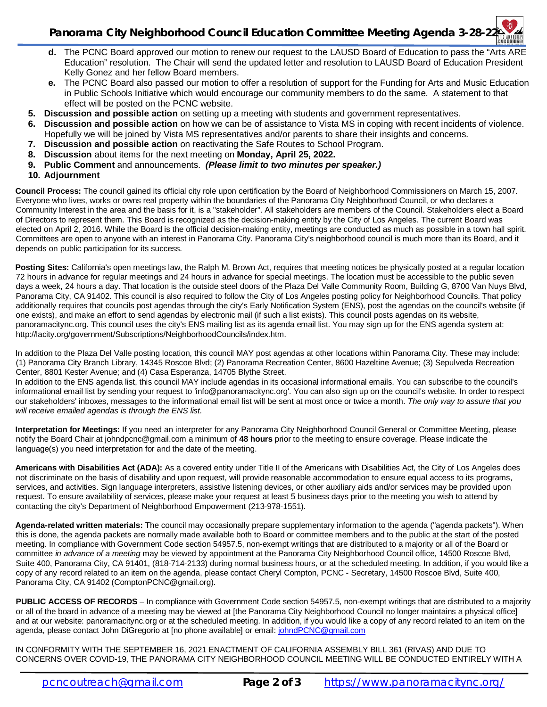- **d.** The PCNC Board approved our motion to renew our request to the LAUSD Board of Education to pass the "Arts ARE Education" resolution. The Chair will send the updated letter and resolution to LAUSD Board of Education President Kelly Gonez and her fellow Board members.
- **e.** The PCNC Board also passed our motion to offer a resolution of support for the Funding for Arts and Music Education in Public Schools Initiative which would encourage our community members to do the same. A statement to that effect will be posted on the PCNC website.
- **5. Discussion and possible action** on setting up a meeting with students and government representatives.
- **6. Discussion and possible action** on how we can be of assistance to Vista MS in coping with recent incidents of violence. Hopefully we will be joined by Vista MS representatives and/or parents to share their insights and concerns.
- **7. Discussion and possible action** on reactivating the Safe Routes to School Program.
- **8. Discussion** about items for the next meeting on **Monday, April 25, 2022.**
- **9. Public Comment** and announcements. *(Please limit to two minutes per speaker.)*
- **10. Adjournment**

**Council Process:** The council gained its official city role upon certification by the Board of Neighborhood Commissioners on March 15, 2007. Everyone who lives, works or owns real property within the boundaries of the Panorama City Neighborhood Council, or who declares a Community Interest in the area and the basis for it, is a "stakeholder". All stakeholders are members of the Council. Stakeholders elect a Board of Directors to represent them. This Board is recognized as the decision-making entity by the City of Los Angeles. The current Board was elected on April 2, 2016. While the Board is the official decision-making entity, meetings are conducted as much as possible in a town hall spirit. Committees are open to anyone with an interest in Panorama City. Panorama City's neighborhood council is much more than its Board, and it depends on public participation for its success.

**Posting Sites:** California's open meetings law, the Ralph M. Brown Act, requires that meeting notices be physically posted at a regular location 72 hours in advance for regular meetings and 24 hours in advance for special meetings. The location must be accessible to the public seven days a week, 24 hours a day. That location is the outside steel doors of the Plaza Del Valle Community Room, Building G, 8700 Van Nuys Blvd, Panorama City, CA 91402. This council is also required to follow the City of Los Angeles posting policy for Neighborhood Councils. That policy additionally requires that councils post agendas through the city's Early Notification System (ENS), post the agendas on the council's website (if one exists), and make an effort to send agendas by electronic mail (if such a list exists). This council posts agendas on its website, panoramacitync.org. This council uses the city's ENS mailing list as its agenda email list. You may sign up for the ENS agenda system at: <http://lacity.org/government/Subscriptions/NeighborhoodCouncils/index.htm.>

In addition to the Plaza Del Valle posting location, this council MAY post agendas at other locations within Panorama City. These may include: (1) Panorama City Branch Library, 14345 Roscoe Blvd; (2) Panorama Recreation Center, 8600 Hazeltine Avenue; (3) Sepulveda Recreation Center, 8801 Kester Avenue; and (4) Casa Esperanza, 14705 Blythe Street.

In addition to the ENS agenda list, this council MAY include agendas in its occasional informational emails. You can subscribe to the council's informational email list by sending your request to ['info@panoramacitync.org'.](mailto:) You can also sign up on the council's website. In order to respect our stakeholders' inboxes, messages to the informational email list will be sent at most once or twice a month. *The only way to assure that you will receive emailed agendas is through the ENS list.* 

**Interpretation for Meetings:** If you need an interpreter for any Panorama City Neighborhood Council General or Committee Meeting, please notify the Board Chair at [johndpcnc@gmail.com](mailto:johndpcnc@gmail.com) a minimum of **48 hours** prior to the meeting to ensure coverage. Please indicate the language(s) you need interpretation for and the date of the meeting.

**Americans with Disabilities Act (ADA):** As a covered entity under Title II of the Americans with Disabilities Act, the City of Los Angeles does not discriminate on the basis of disability and upon request, will provide reasonable accommodation to ensure equal access to its programs, services, and activities. Sign language interpreters, assistive listening devices, or other auxiliary aids and/or services may be provided upon request. To ensure availability of services, please make your request at least 5 business days prior to the meeting you wish to attend by contacting the city's Department of Neighborhood Empowerment (213-978-1551).

**Agenda-related written materials:** The council may occasionally prepare supplementary information to the agenda ("agenda packets"). When this is done, the agenda packets are normally made available both to Board or committee members and to the public at the start of the posted meeting. In compliance with Government Code section 54957.5, non-exempt writings that are distributed to a majority or all of the Board or committee *in advance of a meeting* may be viewed by appointment at the Panorama City Neighborhood Council office, 14500 Roscoe Blvd, Suite 400, Panorama City, CA 91401, (818-714-2133) during normal business hours, or at the scheduled meeting. In addition, if you would like a copy of any record related to an item on the agenda, please contact Cheryl Compton, PCNC - Secretary, 14500 Roscoe Blvd, Suite 400, Panorama City, CA 91402 [\(ComptonPCNC@gmail.org\).](mailto:(ComptonPCNC@gmail.org).) 

**PUBLIC ACCESS OF RECORDS** – In compliance with Government Code section 54957.5, non-exempt writings that are distributed to a majority or all of the board in advance of a meeting may be viewed at [the Panorama City Neighborhood Council no longer maintains a physical office] and at our website: panoramacitync.org or at the scheduled meeting. In addition, if you would like a copy of any record related to an item on the agenda, please contact John DiGregorio at [no phone available] or email: [johndPCNC@gmail.com](mailto:johndPCNC@gmail.com)

IN CONFORMITY WITH THE SEPTEMBER 16, 2021 ENACTMENT OF CALIFORNIA ASSEMBLY BILL 361 (RIVAS) AND DUE TO CONCERNS OVER COVID-19, THE PANORAMA CITY NEIGHBORHOOD COUNCIL MEETING WILL BE CONDUCTED ENTIRELY WITH A